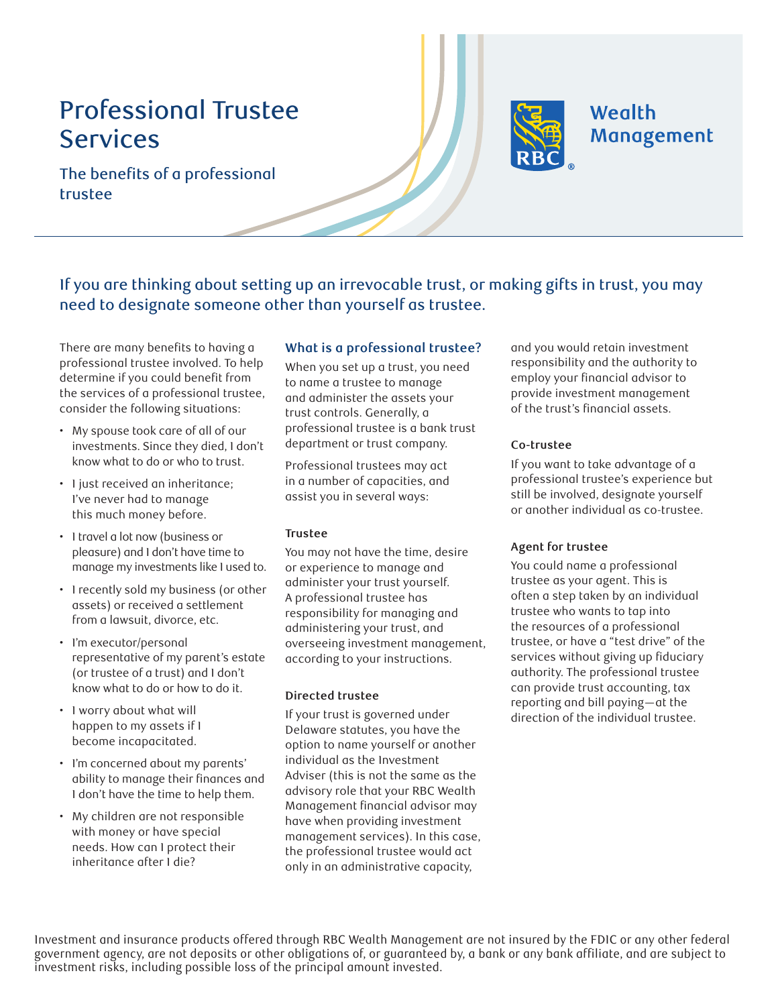# Professional Trustee Services



## Wealth Management

The benefits of a professional trustee

If you are thinking about setting up an irrevocable trust, or making gifts in trust, you may need to designate someone other than yourself as trustee.

There are many benefits to having a professional trustee involved. To help determine if you could benefit from the services of a professional trustee, consider the following situations:

- My spouse took care of all of our investments. Since they died, I don't know what to do or who to trust.
- I just received an inheritance; I've never had to manage this much money before.
- I travel a lot now (business or pleasure) and I don't have time to manage my investments like I used to.
- I recently sold my business (or other assets) or received a settlement from a lawsuit, divorce, etc.
- I'm executor/personal representative of my parent's estate (or trustee of a trust) and I don't know what to do or how to do it.
- I worry about what will happen to my assets if I become incapacitated.
- I'm concerned about my parents' ability to manage their finances and I don't have the time to help them.
- My children are not responsible with money or have special needs. How can I protect their inheritance after I die?

## **What is a professional trustee?**

When you set up a trust, you need to name a trustee to manage and administer the assets your trust controls. Generally, a professional trustee is a bank trust department or trust company.

Professional trustees may act in a number of capacities, and assist you in several ways:

## **Trustee**

You may not have the time, desire or experience to manage and administer your trust yourself. A professional trustee has responsibility for managing and administering your trust, and overseeing investment management, according to your instructions.

## **Directed trustee**

If your trust is governed under Delaware statutes, you have the option to name yourself or another individual as the Investment Adviser (this is not the same as the advisory role that your RBC Wealth Management financial advisor may have when providing investment management services). In this case, the professional trustee would act only in an administrative capacity,

and you would retain investment responsibility and the authority to employ your financial advisor to provide investment management of the trust's financial assets.

## **Co-trustee**

If you want to take advantage of a professional trustee's experience but still be involved, designate yourself or another individual as co-trustee.

## **Agent for trustee**

You could name a professional trustee as your agent. This is often a step taken by an individual trustee who wants to tap into the resources of a professional trustee, or have a "test drive" of the services without giving up fiduciary authority. The professional trustee can provide trust accounting, tax reporting and bill paying—at the direction of the individual trustee.

Investment and insurance products offered through RBC Wealth Management are not insured by the FDIC or any other federal government agency, are not deposits or other obligations of, or guaranteed by, a bank or any bank affiliate, and are subject to investment risks, including possible loss of the principal amount invested.